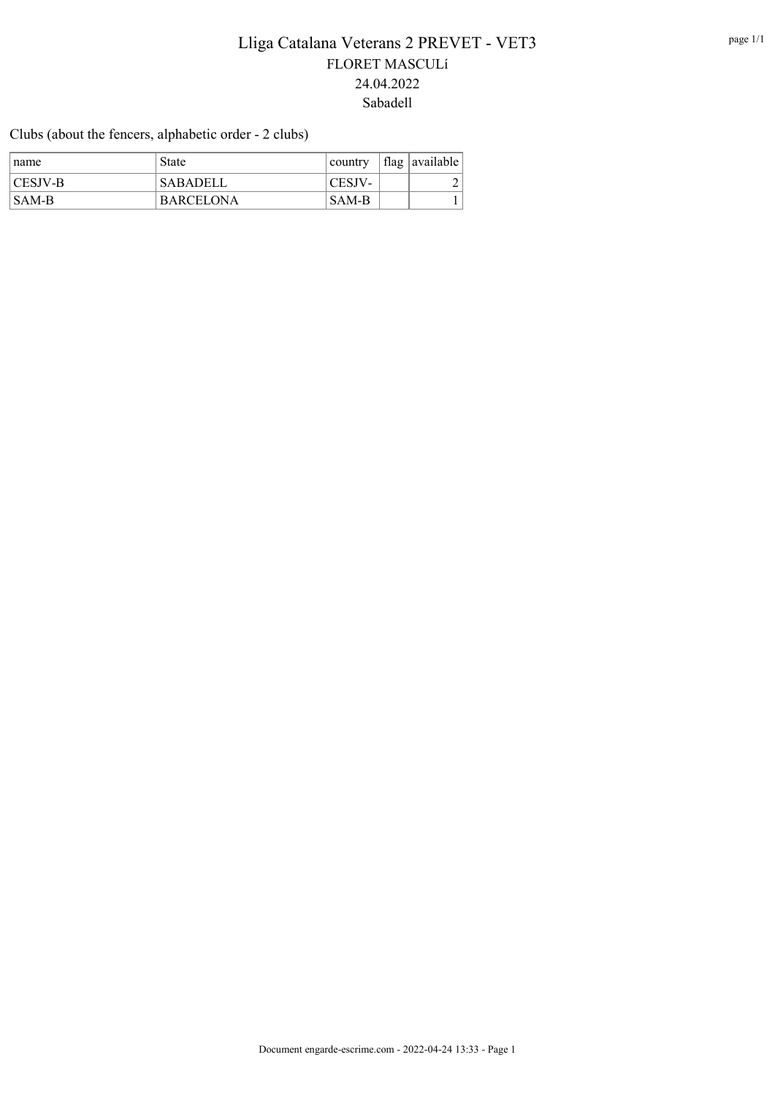Clubs (about the fencers, alphabetic order - 2 clubs)

| ∣name   | <b>State</b>     | country             | flag available |
|---------|------------------|---------------------|----------------|
| CESJV-B | 'SABADELL        | $^{\dagger}$ CESJV- |                |
| SAM-B   | <b>BARCELONA</b> | <b>SAM-B</b>        |                |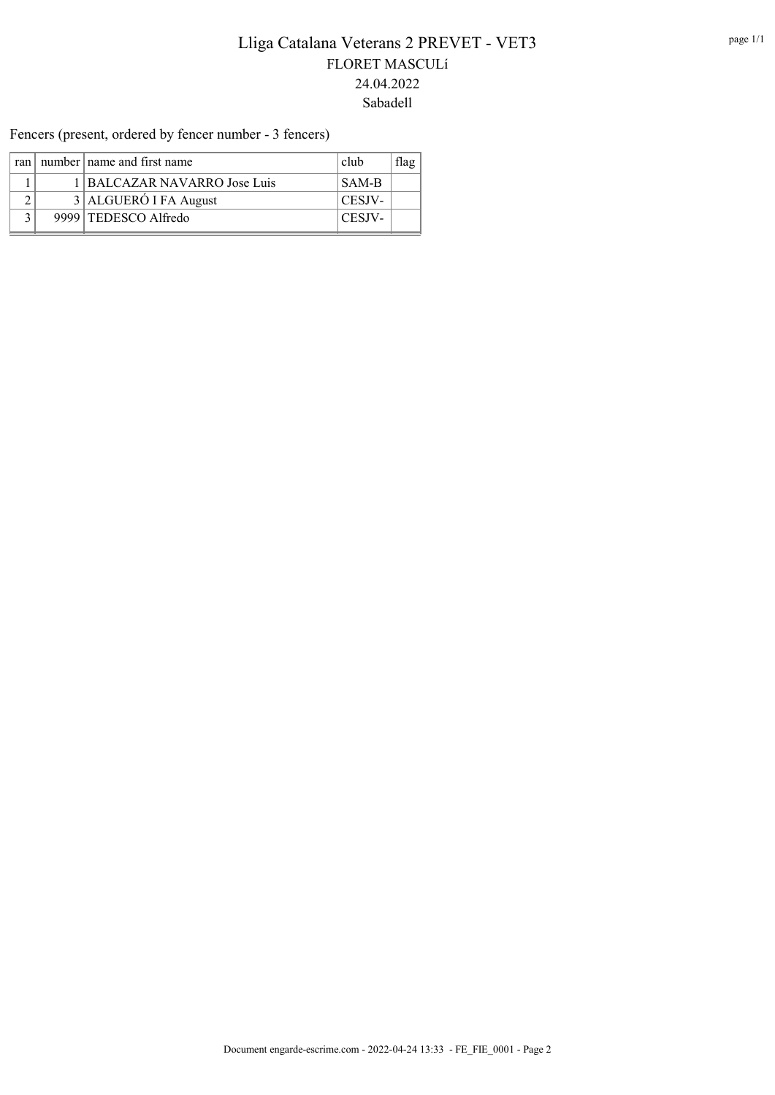Fencers (present, ordered by fencer number - 3 fencers)

|  | ran   number   name and first name | club   | lag |
|--|------------------------------------|--------|-----|
|  | 1 BALCAZAR NAVARRO Jose Luis       | SAM-B  |     |
|  | 3 ALGUERÓ I FA August              | CESJV- |     |
|  | 9999 TEDESCO Alfredo               | CESJV- |     |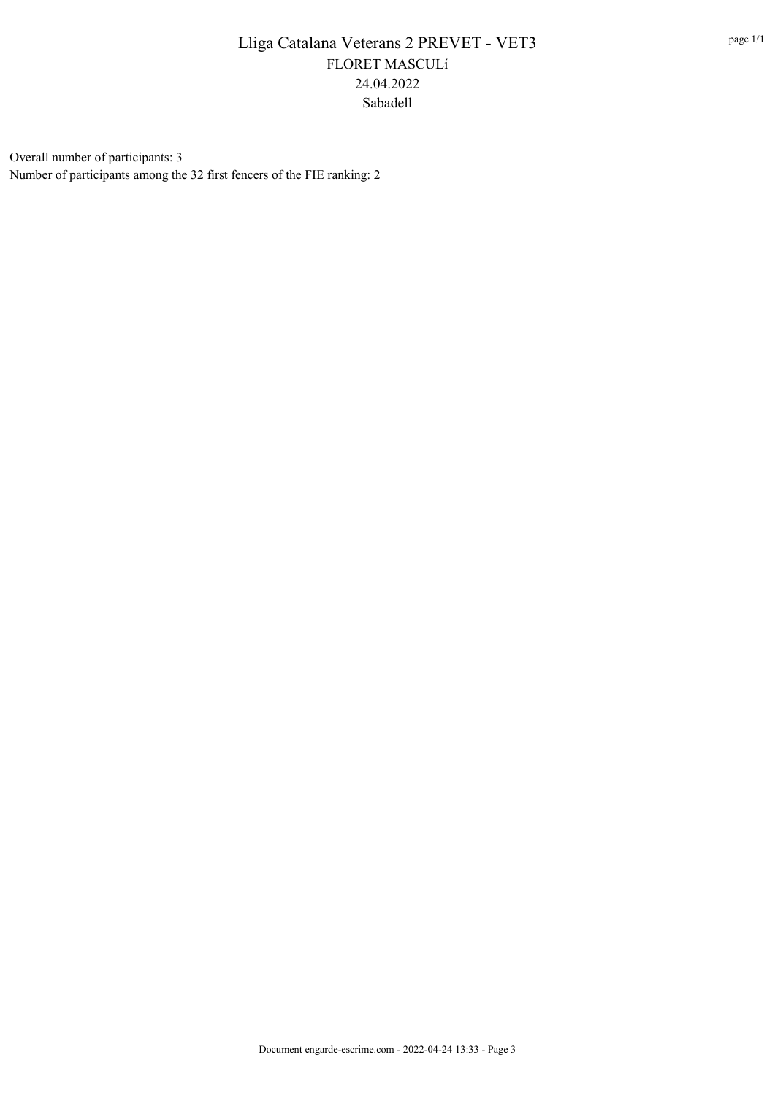Overall number of participants: 3 Number of participants among the 32 first fencers of the FIE ranking: 2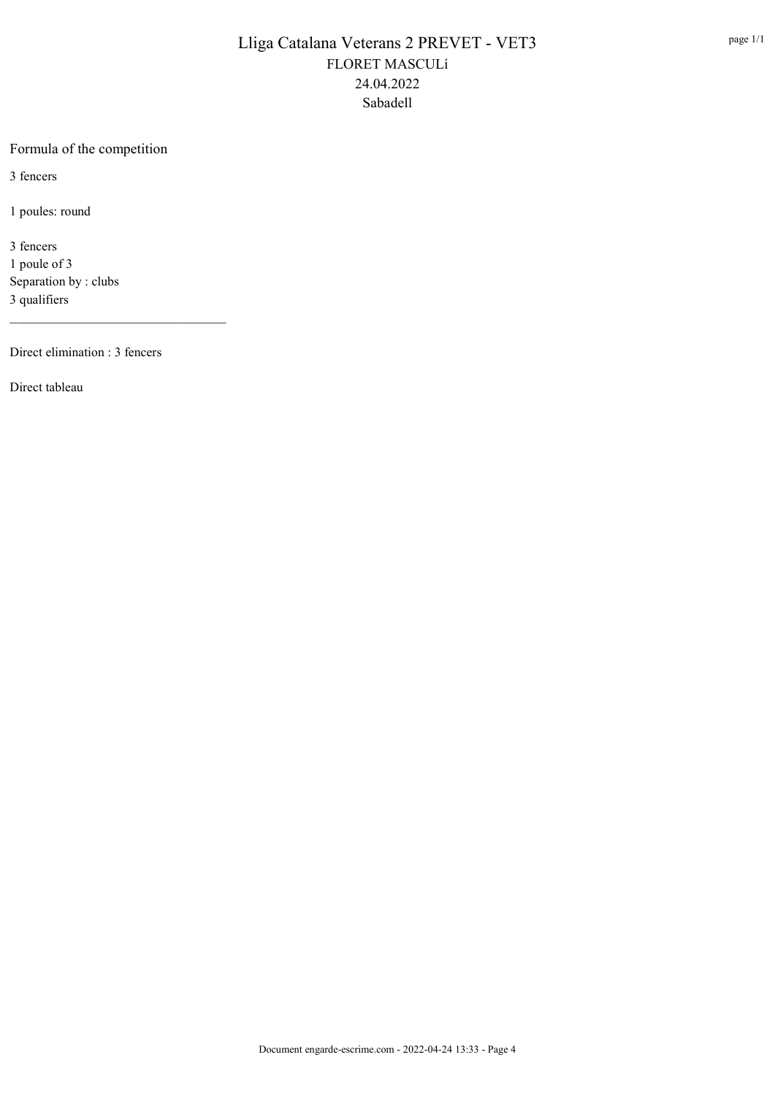#### Formula of the competition

3 fencers

1 poules: round

3 fencers 1 poule of 3 Separation by : clubs 3 qualifiers

Direct elimination : 3 fencers

\_\_\_\_\_\_\_\_\_\_\_\_\_\_\_\_\_\_\_\_\_\_\_\_\_\_\_\_\_\_\_\_\_

Direct tableau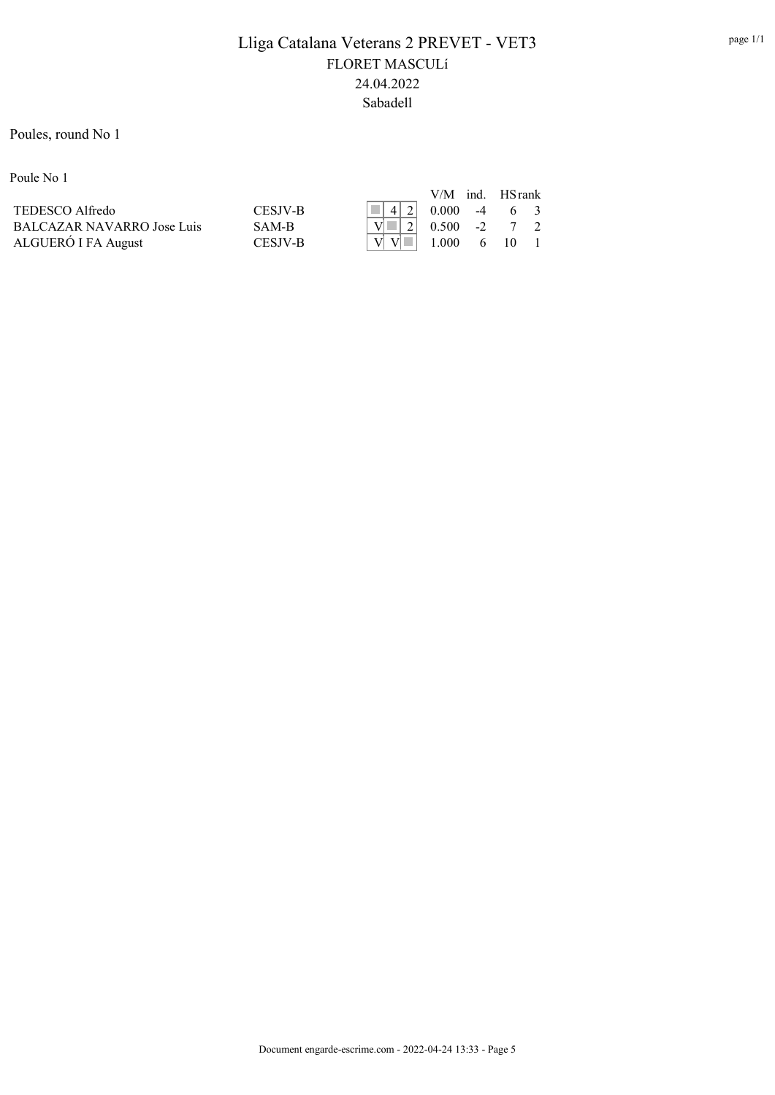#### Poules, round No 1

Poule No 1

|                                   |                |                                                                          | $V/M$ ind. HS rank      |  |  |
|-----------------------------------|----------------|--------------------------------------------------------------------------|-------------------------|--|--|
| TEDESCO Alfredo                   | <b>CESIV-B</b> | $\begin{array}{ c c c c c c c c c } \hline \end{array}$ 4 2 0.000 -4 6 3 |                         |  |  |
| <b>BALCAZAR NAVARRO Jose Luis</b> | SAM-R          | $\sqrt{N}$   2   0.500 -2 7 2                                            |                         |  |  |
| ALGUERÓ I FA August               | CESIV-R        |                                                                          | $1.000 \t 6 \t 10 \t 1$ |  |  |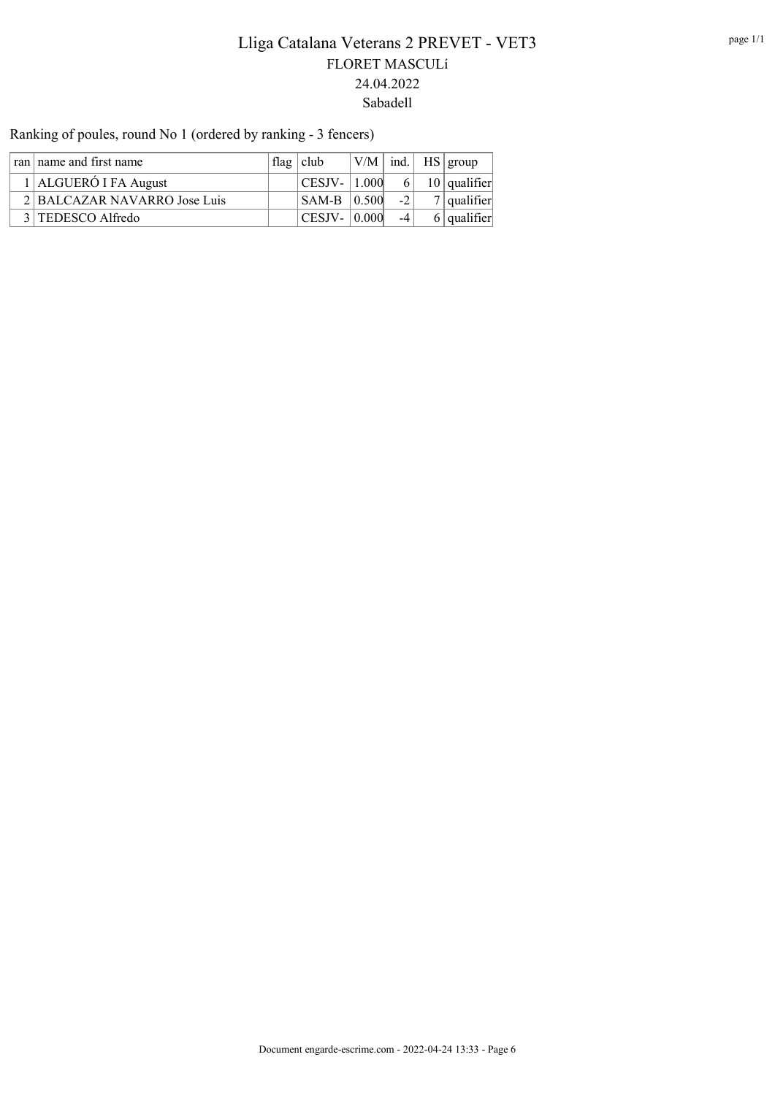ran | name and first name  $\left| \text{flag} \right|$  club  $\left| \text{V/M} \right|$  ind.  $\left| \text{HS} \right|$  group 1 ALGUERÓ I FA August  $\vert$  CESJV- 1.000 6 10 qualifier 2 BALCAZAR NAVARRO Jose Luis SAM-B  $|0.500|$  -2 7 qualifier  $3 | \text{TEDESCO Alfredo}$   $| \text{CESJV} - | 0.000 | -4 | 6 | \text{qualifier}$ 

Ranking of poules, round No 1 (ordered by ranking - 3 fencers)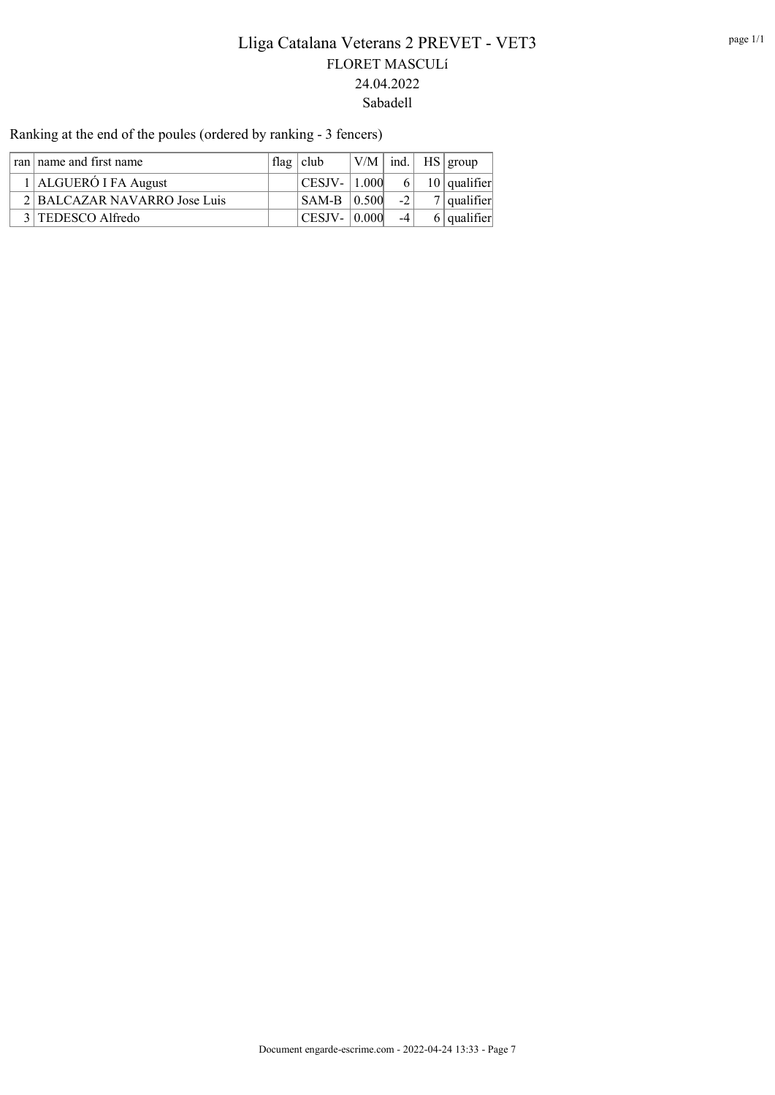Ranking at the end of the poules (ordered by ranking - 3 fencers)

| ran   name and first name |                              | flag $ $ club      |                     | $ V/M $ ind.   HS   group |               |
|---------------------------|------------------------------|--------------------|---------------------|---------------------------|---------------|
| 1 ALGUERÓ I FA August     |                              | $ CESJV -  1.000 $ |                     | $6 \mid 10$ qualifier     |               |
|                           | 2 BALCAZAR NAVARRO Jose Luis |                    | $ $ SAM-B $ $ 0.500 | $-2$                      | $7$ qualifier |
|                           |                              | 3 TEDESCO Alfredo  | CESJV-   0.000      | $-4$                      | $6$ qualifier |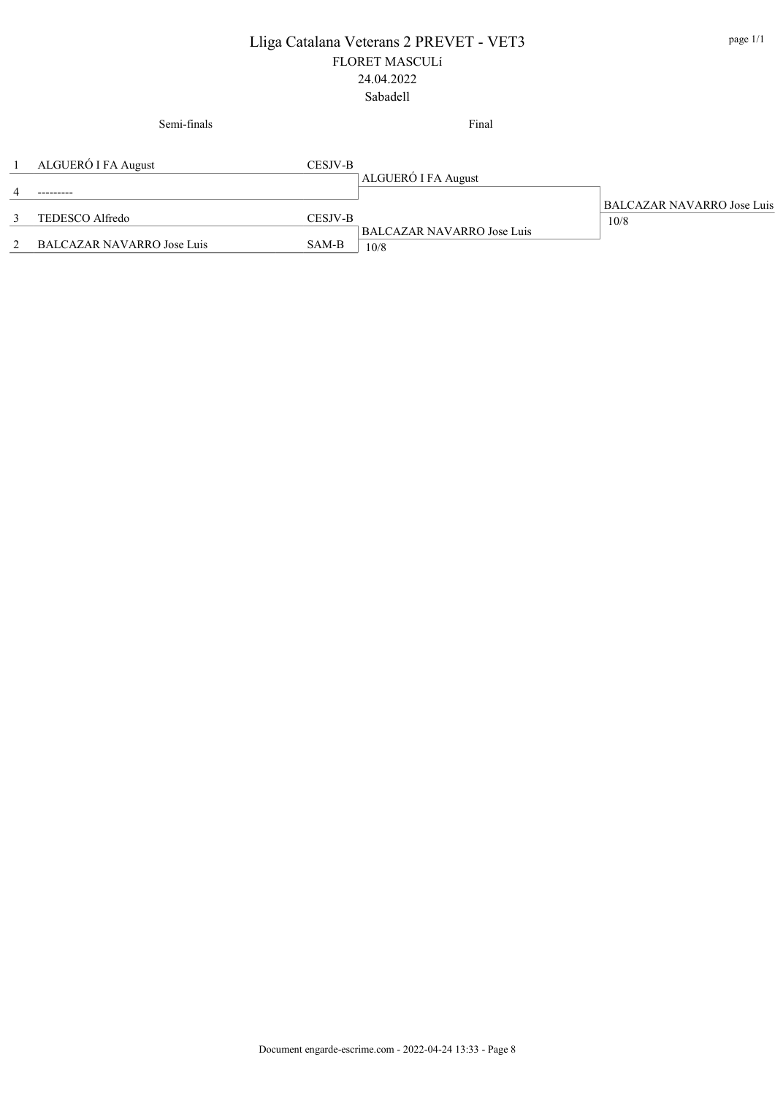#### Semi-finals

Final

| ALGUERO I FA August          | <b>CESJV-B</b> |                                   |                            |
|------------------------------|----------------|-----------------------------------|----------------------------|
|                              |                | ALGUERO I FA August               |                            |
|                              |                |                                   |                            |
|                              |                |                                   | BALCAZAR NAVARRO Jose Luis |
| TEDESCO Alfredo              | CESJV-B        |                                   | 10/8                       |
|                              |                | <b>BALCAZAR NAVARRO Jose Luis</b> |                            |
| 2 BALCAZAR NAVARRO Jose Luis | SAM-B          | 10/8                              |                            |
|                              |                |                                   |                            |